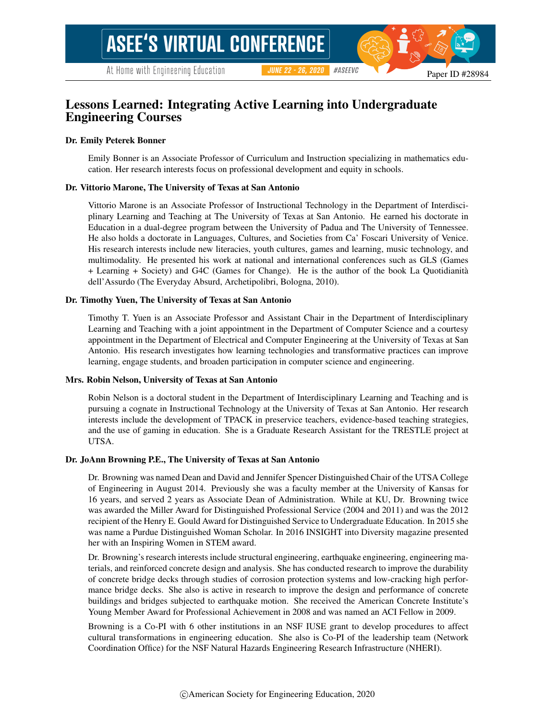# Lessons Learned: Integrating Active Learning into Undergraduate Engineering Courses

### Dr. Emily Peterek Bonner

Emily Bonner is an Associate Professor of Curriculum and Instruction specializing in mathematics education. Her research interests focus on professional development and equity in schools.

#### Dr. Vittorio Marone, The University of Texas at San Antonio

Vittorio Marone is an Associate Professor of Instructional Technology in the Department of Interdisciplinary Learning and Teaching at The University of Texas at San Antonio. He earned his doctorate in Education in a dual-degree program between the University of Padua and The University of Tennessee. He also holds a doctorate in Languages, Cultures, and Societies from Ca' Foscari University of Venice. His research interests include new literacies, youth cultures, games and learning, music technology, and multimodality. He presented his work at national and international conferences such as GLS (Games + Learning + Society) and G4C (Games for Change). He is the author of the book La Quotidianita` dell'Assurdo (The Everyday Absurd, Archetipolibri, Bologna, 2010).

#### Dr. Timothy Yuen, The University of Texas at San Antonio

Timothy T. Yuen is an Associate Professor and Assistant Chair in the Department of Interdisciplinary Learning and Teaching with a joint appointment in the Department of Computer Science and a courtesy appointment in the Department of Electrical and Computer Engineering at the University of Texas at San Antonio. His research investigates how learning technologies and transformative practices can improve learning, engage students, and broaden participation in computer science and engineering.

#### Mrs. Robin Nelson, University of Texas at San Antonio

Robin Nelson is a doctoral student in the Department of Interdisciplinary Learning and Teaching and is pursuing a cognate in Instructional Technology at the University of Texas at San Antonio. Her research interests include the development of TPACK in preservice teachers, evidence-based teaching strategies, and the use of gaming in education. She is a Graduate Research Assistant for the TRESTLE project at UTSA.

#### Dr. JoAnn Browning P.E., The University of Texas at San Antonio

Dr. Browning was named Dean and David and Jennifer Spencer Distinguished Chair of the UTSA College of Engineering in August 2014. Previously she was a faculty member at the University of Kansas for 16 years, and served 2 years as Associate Dean of Administration. While at KU, Dr. Browning twice was awarded the Miller Award for Distinguished Professional Service (2004 and 2011) and was the 2012 recipient of the Henry E. Gould Award for Distinguished Service to Undergraduate Education. In 2015 she was name a Purdue Distinguished Woman Scholar. In 2016 INSIGHT into Diversity magazine presented her with an Inspiring Women in STEM award.

Dr. Browning's research interests include structural engineering, earthquake engineering, engineering materials, and reinforced concrete design and analysis. She has conducted research to improve the durability of concrete bridge decks through studies of corrosion protection systems and low-cracking high performance bridge decks. She also is active in research to improve the design and performance of concrete buildings and bridges subjected to earthquake motion. She received the American Concrete Institute's Young Member Award for Professional Achievement in 2008 and was named an ACI Fellow in 2009.

Browning is a Co-PI with 6 other institutions in an NSF IUSE grant to develop procedures to affect cultural transformations in engineering education. She also is Co-PI of the leadership team (Network Coordination Office) for the NSF Natural Hazards Engineering Research Infrastructure (NHERI).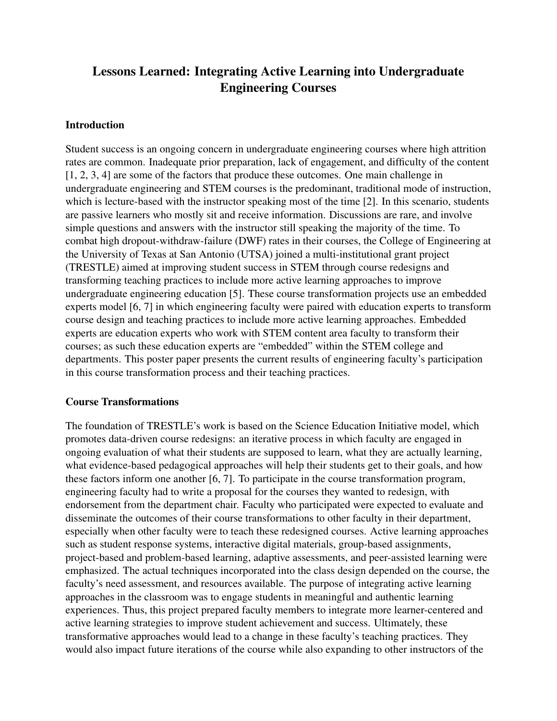# Lessons Learned: Integrating Active Learning into Undergraduate Engineering Courses

## Introduction

Student success is an ongoing concern in undergraduate engineering courses where high attrition rates are common. Inadequate prior preparation, lack of engagement, and difficulty of the content [1, 2, 3, 4] are some of the factors that produce these outcomes. One main challenge in undergraduate engineering and STEM courses is the predominant, traditional mode of instruction, which is lecture-based with the instructor speaking most of the time [2]. In this scenario, students are passive learners who mostly sit and receive information. Discussions are rare, and involve simple questions and answers with the instructor still speaking the majority of the time. To combat high dropout-withdraw-failure (DWF) rates in their courses, the College of Engineering at the University of Texas at San Antonio (UTSA) joined a multi-institutional grant project (TRESTLE) aimed at improving student success in STEM through course redesigns and transforming teaching practices to include more active learning approaches to improve undergraduate engineering education [5]. These course transformation projects use an embedded experts model [6, 7] in which engineering faculty were paired with education experts to transform course design and teaching practices to include more active learning approaches. Embedded experts are education experts who work with STEM content area faculty to transform their courses; as such these education experts are "embedded" within the STEM college and departments. This poster paper presents the current results of engineering faculty's participation in this course transformation process and their teaching practices.

### Course Transformations

The foundation of TRESTLE's work is based on the Science Education Initiative model, which promotes data-driven course redesigns: an iterative process in which faculty are engaged in ongoing evaluation of what their students are supposed to learn, what they are actually learning, what evidence-based pedagogical approaches will help their students get to their goals, and how these factors inform one another [6, 7]. To participate in the course transformation program, engineering faculty had to write a proposal for the courses they wanted to redesign, with endorsement from the department chair. Faculty who participated were expected to evaluate and disseminate the outcomes of their course transformations to other faculty in their department, especially when other faculty were to teach these redesigned courses. Active learning approaches such as student response systems, interactive digital materials, group-based assignments, project-based and problem-based learning, adaptive assessments, and peer-assisted learning were emphasized. The actual techniques incorporated into the class design depended on the course, the faculty's need assessment, and resources available. The purpose of integrating active learning approaches in the classroom was to engage students in meaningful and authentic learning experiences. Thus, this project prepared faculty members to integrate more learner-centered and active learning strategies to improve student achievement and success. Ultimately, these transformative approaches would lead to a change in these faculty's teaching practices. They would also impact future iterations of the course while also expanding to other instructors of the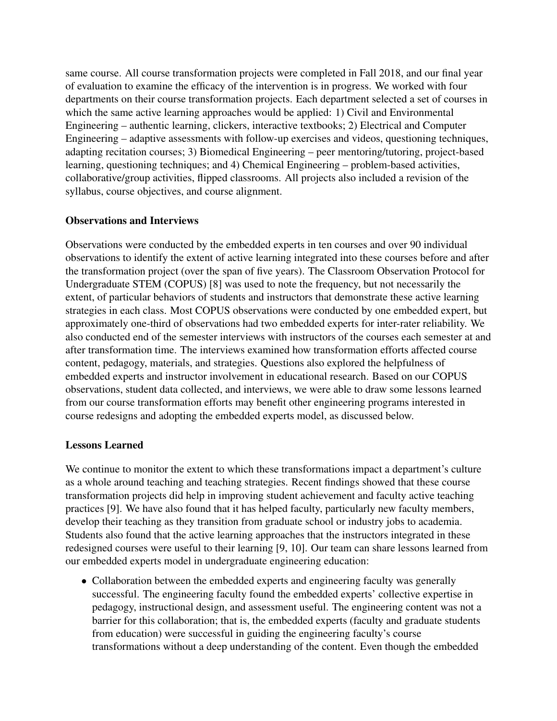same course. All course transformation projects were completed in Fall 2018, and our final year of evaluation to examine the efficacy of the intervention is in progress. We worked with four departments on their course transformation projects. Each department selected a set of courses in which the same active learning approaches would be applied: 1) Civil and Environmental Engineering – authentic learning, clickers, interactive textbooks; 2) Electrical and Computer Engineering – adaptive assessments with follow-up exercises and videos, questioning techniques, adapting recitation courses; 3) Biomedical Engineering – peer mentoring/tutoring, project-based learning, questioning techniques; and 4) Chemical Engineering – problem-based activities, collaborative/group activities, flipped classrooms. All projects also included a revision of the syllabus, course objectives, and course alignment.

### Observations and Interviews

Observations were conducted by the embedded experts in ten courses and over 90 individual observations to identify the extent of active learning integrated into these courses before and after the transformation project (over the span of five years). The Classroom Observation Protocol for Undergraduate STEM (COPUS) [8] was used to note the frequency, but not necessarily the extent, of particular behaviors of students and instructors that demonstrate these active learning strategies in each class. Most COPUS observations were conducted by one embedded expert, but approximately one-third of observations had two embedded experts for inter-rater reliability. We also conducted end of the semester interviews with instructors of the courses each semester at and after transformation time. The interviews examined how transformation efforts affected course content, pedagogy, materials, and strategies. Questions also explored the helpfulness of embedded experts and instructor involvement in educational research. Based on our COPUS observations, student data collected, and interviews, we were able to draw some lessons learned from our course transformation efforts may benefit other engineering programs interested in course redesigns and adopting the embedded experts model, as discussed below.

### Lessons Learned

We continue to monitor the extent to which these transformations impact a department's culture as a whole around teaching and teaching strategies. Recent findings showed that these course transformation projects did help in improving student achievement and faculty active teaching practices [9]. We have also found that it has helped faculty, particularly new faculty members, develop their teaching as they transition from graduate school or industry jobs to academia. Students also found that the active learning approaches that the instructors integrated in these redesigned courses were useful to their learning [9, 10]. Our team can share lessons learned from our embedded experts model in undergraduate engineering education:

• Collaboration between the embedded experts and engineering faculty was generally successful. The engineering faculty found the embedded experts' collective expertise in pedagogy, instructional design, and assessment useful. The engineering content was not a barrier for this collaboration; that is, the embedded experts (faculty and graduate students from education) were successful in guiding the engineering faculty's course transformations without a deep understanding of the content. Even though the embedded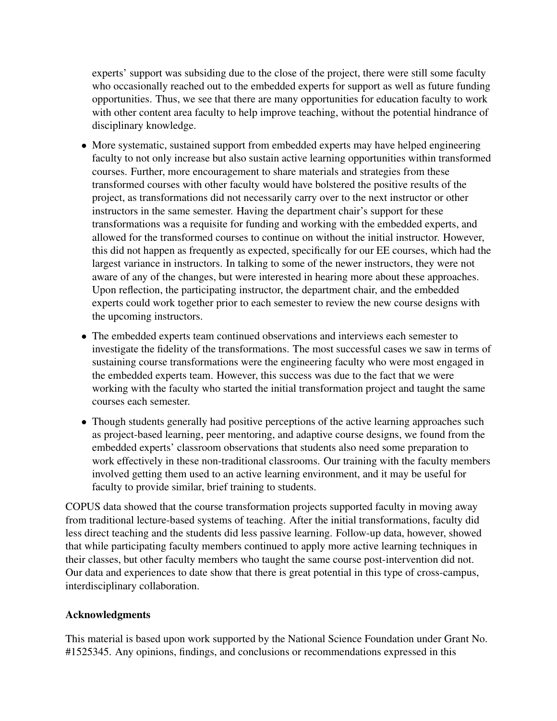experts' support was subsiding due to the close of the project, there were still some faculty who occasionally reached out to the embedded experts for support as well as future funding opportunities. Thus, we see that there are many opportunities for education faculty to work with other content area faculty to help improve teaching, without the potential hindrance of disciplinary knowledge.

- More systematic, sustained support from embedded experts may have helped engineering faculty to not only increase but also sustain active learning opportunities within transformed courses. Further, more encouragement to share materials and strategies from these transformed courses with other faculty would have bolstered the positive results of the project, as transformations did not necessarily carry over to the next instructor or other instructors in the same semester. Having the department chair's support for these transformations was a requisite for funding and working with the embedded experts, and allowed for the transformed courses to continue on without the initial instructor. However, this did not happen as frequently as expected, specifically for our EE courses, which had the largest variance in instructors. In talking to some of the newer instructors, they were not aware of any of the changes, but were interested in hearing more about these approaches. Upon reflection, the participating instructor, the department chair, and the embedded experts could work together prior to each semester to review the new course designs with the upcoming instructors.
- The embedded experts team continued observations and interviews each semester to investigate the fidelity of the transformations. The most successful cases we saw in terms of sustaining course transformations were the engineering faculty who were most engaged in the embedded experts team. However, this success was due to the fact that we were working with the faculty who started the initial transformation project and taught the same courses each semester.
- Though students generally had positive perceptions of the active learning approaches such as project-based learning, peer mentoring, and adaptive course designs, we found from the embedded experts' classroom observations that students also need some preparation to work effectively in these non-traditional classrooms. Our training with the faculty members involved getting them used to an active learning environment, and it may be useful for faculty to provide similar, brief training to students.

COPUS data showed that the course transformation projects supported faculty in moving away from traditional lecture-based systems of teaching. After the initial transformations, faculty did less direct teaching and the students did less passive learning. Follow-up data, however, showed that while participating faculty members continued to apply more active learning techniques in their classes, but other faculty members who taught the same course post-intervention did not. Our data and experiences to date show that there is great potential in this type of cross-campus, interdisciplinary collaboration.

# Acknowledgments

This material is based upon work supported by the National Science Foundation under Grant No. #1525345. Any opinions, findings, and conclusions or recommendations expressed in this